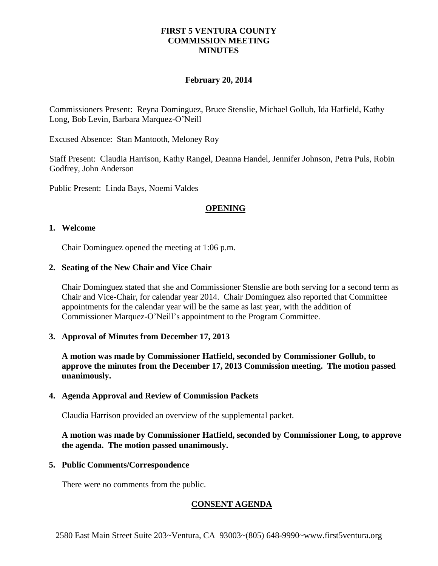## **FIRST 5 VENTURA COUNTY COMMISSION MEETING MINUTES**

### **February 20, 2014**

Commissioners Present: Reyna Dominguez, Bruce Stenslie, Michael Gollub, Ida Hatfield, Kathy Long, Bob Levin, Barbara Marquez-O'Neill

Excused Absence: Stan Mantooth, Meloney Roy

Staff Present: Claudia Harrison, Kathy Rangel, Deanna Handel, Jennifer Johnson, Petra Puls, Robin Godfrey, John Anderson

Public Present: Linda Bays, Noemi Valdes

#### **OPENING**

#### **1. Welcome**

Chair Dominguez opened the meeting at 1:06 p.m.

#### **2. Seating of the New Chair and Vice Chair**

Chair Dominguez stated that she and Commissioner Stenslie are both serving for a second term as Chair and Vice-Chair, for calendar year 2014. Chair Dominguez also reported that Committee appointments for the calendar year will be the same as last year, with the addition of Commissioner Marquez-O'Neill's appointment to the Program Committee.

### **3. Approval of Minutes from December 17, 2013**

**A motion was made by Commissioner Hatfield, seconded by Commissioner Gollub, to approve the minutes from the December 17, 2013 Commission meeting. The motion passed unanimously.**

#### **4. Agenda Approval and Review of Commission Packets**

Claudia Harrison provided an overview of the supplemental packet.

## **A motion was made by Commissioner Hatfield, seconded by Commissioner Long, to approve the agenda. The motion passed unanimously.**

#### **5. Public Comments/Correspondence**

There were no comments from the public.

# **CONSENT AGENDA**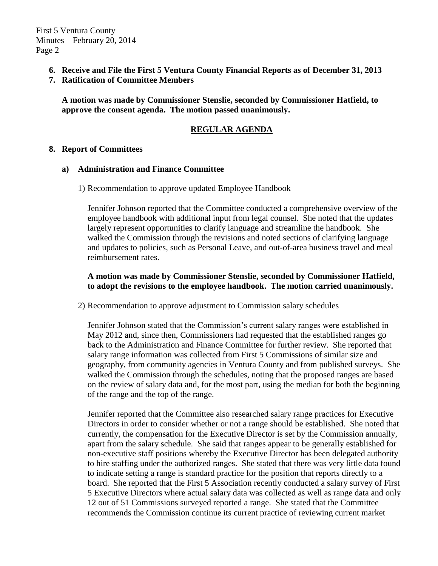First 5 Ventura County Minutes – February 20, 2014 Page 2

- **6. Receive and File the First 5 Ventura County Financial Reports as of December 31, 2013**
- **7. Ratification of Committee Members**

**A motion was made by Commissioner Stenslie, seconded by Commissioner Hatfield, to approve the consent agenda. The motion passed unanimously.** 

# **REGULAR AGENDA**

#### **8. Report of Committees**

### **a) Administration and Finance Committee**

1) Recommendation to approve updated Employee Handbook

Jennifer Johnson reported that the Committee conducted a comprehensive overview of the employee handbook with additional input from legal counsel. She noted that the updates largely represent opportunities to clarify language and streamline the handbook. She walked the Commission through the revisions and noted sections of clarifying language and updates to policies, such as Personal Leave, and out-of-area business travel and meal reimbursement rates.

## **A motion was made by Commissioner Stenslie, seconded by Commissioner Hatfield, to adopt the revisions to the employee handbook. The motion carried unanimously.**

2) Recommendation to approve adjustment to Commission salary schedules

Jennifer Johnson stated that the Commission's current salary ranges were established in May 2012 and, since then, Commissioners had requested that the established ranges go back to the Administration and Finance Committee for further review. She reported that salary range information was collected from First 5 Commissions of similar size and geography, from community agencies in Ventura County and from published surveys. She walked the Commission through the schedules, noting that the proposed ranges are based on the review of salary data and, for the most part, using the median for both the beginning of the range and the top of the range.

Jennifer reported that the Committee also researched salary range practices for Executive Directors in order to consider whether or not a range should be established. She noted that currently, the compensation for the Executive Director is set by the Commission annually, apart from the salary schedule. She said that ranges appear to be generally established for non-executive staff positions whereby the Executive Director has been delegated authority to hire staffing under the authorized ranges. She stated that there was very little data found to indicate setting a range is standard practice for the position that reports directly to a board. She reported that the First 5 Association recently conducted a salary survey of First 5 Executive Directors where actual salary data was collected as well as range data and only 12 out of 51 Commissions surveyed reported a range. She stated that the Committee recommends the Commission continue its current practice of reviewing current market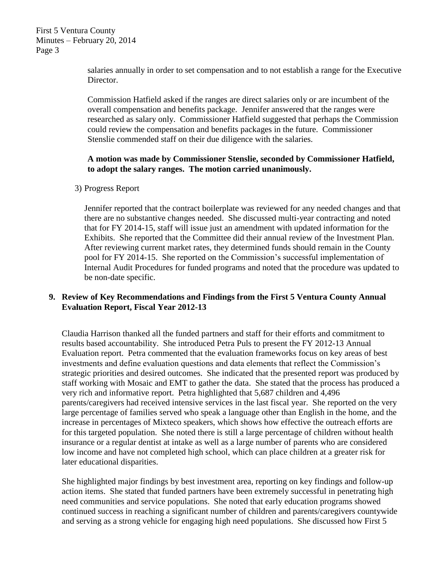First 5 Ventura County Minutes – February 20, 2014 Page 3

> salaries annually in order to set compensation and to not establish a range for the Executive Director.

> Commission Hatfield asked if the ranges are direct salaries only or are incumbent of the overall compensation and benefits package. Jennifer answered that the ranges were researched as salary only. Commissioner Hatfield suggested that perhaps the Commission could review the compensation and benefits packages in the future. Commissioner Stenslie commended staff on their due diligence with the salaries.

## **A motion was made by Commissioner Stenslie, seconded by Commissioner Hatfield, to adopt the salary ranges. The motion carried unanimously.**

3) Progress Report

Jennifer reported that the contract boilerplate was reviewed for any needed changes and that there are no substantive changes needed. She discussed multi-year contracting and noted that for FY 2014-15, staff will issue just an amendment with updated information for the Exhibits. She reported that the Committee did their annual review of the Investment Plan. After reviewing current market rates, they determined funds should remain in the County pool for FY 2014-15. She reported on the Commission's successful implementation of Internal Audit Procedures for funded programs and noted that the procedure was updated to be non-date specific.

# **9. Review of Key Recommendations and Findings from the First 5 Ventura County Annual Evaluation Report, Fiscal Year 2012-13**

Claudia Harrison thanked all the funded partners and staff for their efforts and commitment to results based accountability. She introduced Petra Puls to present the FY 2012-13 Annual Evaluation report. Petra commented that the evaluation frameworks focus on key areas of best investments and define evaluation questions and data elements that reflect the Commission's strategic priorities and desired outcomes. She indicated that the presented report was produced by staff working with Mosaic and EMT to gather the data. She stated that the process has produced a very rich and informative report. Petra highlighted that 5,687 children and 4,496 parents/caregivers had received intensive services in the last fiscal year. She reported on the very large percentage of families served who speak a language other than English in the home, and the increase in percentages of Mixteco speakers, which shows how effective the outreach efforts are for this targeted population. She noted there is still a large percentage of children without health insurance or a regular dentist at intake as well as a large number of parents who are considered low income and have not completed high school, which can place children at a greater risk for later educational disparities.

She highlighted major findings by best investment area, reporting on key findings and follow-up action items. She stated that funded partners have been extremely successful in penetrating high need communities and service populations. She noted that early education programs showed continued success in reaching a significant number of children and parents/caregivers countywide and serving as a strong vehicle for engaging high need populations. She discussed how First 5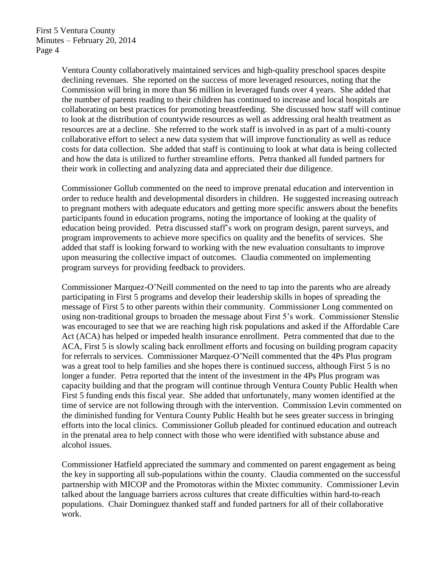Ventura County collaboratively maintained services and high-quality preschool spaces despite declining revenues. She reported on the success of more leveraged resources, noting that the Commission will bring in more than \$6 million in leveraged funds over 4 years. She added that the number of parents reading to their children has continued to increase and local hospitals are collaborating on best practices for promoting breastfeeding. She discussed how staff will continue to look at the distribution of countywide resources as well as addressing oral health treatment as resources are at a decline. She referred to the work staff is involved in as part of a multi-county collaborative effort to select a new data system that will improve functionality as well as reduce costs for data collection. She added that staff is continuing to look at what data is being collected and how the data is utilized to further streamline efforts. Petra thanked all funded partners for their work in collecting and analyzing data and appreciated their due diligence.

Commissioner Gollub commented on the need to improve prenatal education and intervention in order to reduce health and developmental disorders in children. He suggested increasing outreach to pregnant mothers with adequate educators and getting more specific answers about the benefits participants found in education programs, noting the importance of looking at the quality of education being provided. Petra discussed staff's work on program design, parent surveys, and program improvements to achieve more specifics on quality and the benefits of services. She added that staff is looking forward to working with the new evaluation consultants to improve upon measuring the collective impact of outcomes. Claudia commented on implementing program surveys for providing feedback to providers.

Commissioner Marquez-O'Neill commented on the need to tap into the parents who are already participating in First 5 programs and develop their leadership skills in hopes of spreading the message of First 5 to other parents within their community. Commissioner Long commented on using non-traditional groups to broaden the message about First 5's work. Commissioner Stenslie was encouraged to see that we are reaching high risk populations and asked if the Affordable Care Act (ACA) has helped or impeded health insurance enrollment. Petra commented that due to the ACA, First 5 is slowly scaling back enrollment efforts and focusing on building program capacity for referrals to services. Commissioner Marquez-O'Neill commented that the 4Ps Plus program was a great tool to help families and she hopes there is continued success, although First 5 is no longer a funder. Petra reported that the intent of the investment in the 4Ps Plus program was capacity building and that the program will continue through Ventura County Public Health when First 5 funding ends this fiscal year. She added that unfortunately, many women identified at the time of service are not following through with the intervention. Commission Levin commented on the diminished funding for Ventura County Public Health but he sees greater success in bringing efforts into the local clinics. Commissioner Gollub pleaded for continued education and outreach in the prenatal area to help connect with those who were identified with substance abuse and alcohol issues.

Commissioner Hatfield appreciated the summary and commented on parent engagement as being the key in supporting all sub-populations within the county. Claudia commented on the successful partnership with MICOP and the Promotoras within the Mixtec community. Commissioner Levin talked about the language barriers across cultures that create difficulties within hard-to-reach populations. Chair Dominguez thanked staff and funded partners for all of their collaborative work.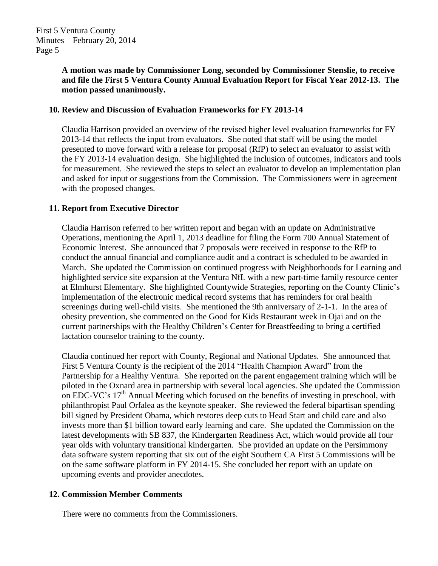# **A motion was made by Commissioner Long, seconded by Commissioner Stenslie, to receive and file the First 5 Ventura County Annual Evaluation Report for Fiscal Year 2012-13. The motion passed unanimously.**

# **10. Review and Discussion of Evaluation Frameworks for FY 2013-14**

Claudia Harrison provided an overview of the revised higher level evaluation frameworks for FY 2013-14 that reflects the input from evaluators. She noted that staff will be using the model presented to move forward with a release for proposal (RfP) to select an evaluator to assist with the FY 2013-14 evaluation design. She highlighted the inclusion of outcomes, indicators and tools for measurement. She reviewed the steps to select an evaluator to develop an implementation plan and asked for input or suggestions from the Commission. The Commissioners were in agreement with the proposed changes.

# **11. Report from Executive Director**

Claudia Harrison referred to her written report and began with an update on Administrative Operations, mentioning the April 1, 2013 deadline for filing the Form 700 Annual Statement of Economic Interest. She announced that 7 proposals were received in response to the RfP to conduct the annual financial and compliance audit and a contract is scheduled to be awarded in March. She updated the Commission on continued progress with Neighborhoods for Learning and highlighted service site expansion at the Ventura NfL with a new part-time family resource center at Elmhurst Elementary. She highlighted Countywide Strategies, reporting on the County Clinic's implementation of the electronic medical record systems that has reminders for oral health screenings during well-child visits. She mentioned the 9th anniversary of 2-1-1. In the area of obesity prevention, she commented on the Good for Kids Restaurant week in Ojai and on the current partnerships with the Healthy Children's Center for Breastfeeding to bring a certified lactation counselor training to the county.

Claudia continued her report with County, Regional and National Updates. She announced that First 5 Ventura County is the recipient of the 2014 "Health Champion Award" from the Partnership for a Healthy Ventura. She reported on the parent engagement training which will be piloted in the Oxnard area in partnership with several local agencies. She updated the Commission on EDC-VC's 17<sup>th</sup> Annual Meeting which focused on the benefits of investing in preschool, with philanthropist Paul Orfalea as the keynote speaker. She reviewed the federal bipartisan spending bill signed by President Obama, which restores deep cuts to Head Start and child care and also invests more than \$1 billion toward early learning and care. She updated the Commission on the latest developments with SB 837, the Kindergarten Readiness Act, which would provide all four year olds with voluntary transitional kindergarten. She provided an update on the Persimmony data software system reporting that six out of the eight Southern CA First 5 Commissions will be on the same software platform in FY 2014-15. She concluded her report with an update on upcoming events and provider anecdotes.

# **12. Commission Member Comments**

There were no comments from the Commissioners.